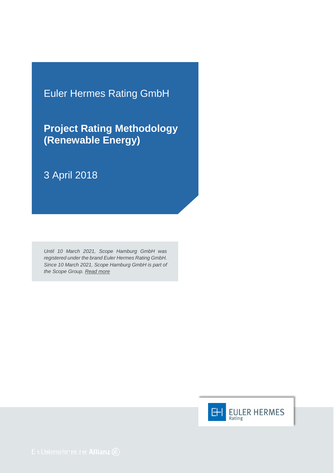Euler Hermes Rating GmbH

**Project Rating Methodology (Renewable Energy)**

# 3 April 2018

*Until 10 March 2021, Scope Hamburg GmbH was registered under the brand Euler Hermes Rating GmbH. Since 10 March 2021, Scope Hamburg GmbH is part of the Scope Group. [Read more](https://scopegroup.com/media-centre/Scope-Group-acquires-Euler-Hermes-Rating-.html)*

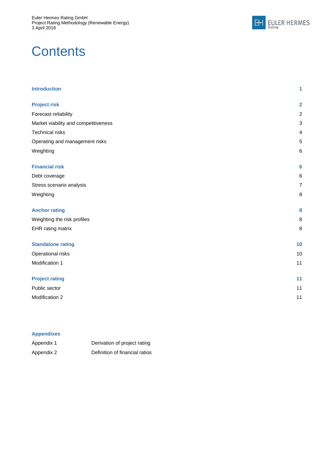

# **Contents**

| <b>Introduction</b>                  | 1                         |
|--------------------------------------|---------------------------|
| <b>Project risk</b>                  | $\overline{\mathbf{2}}$   |
| Forecast reliability                 | $\boldsymbol{2}$          |
| Market viability and competitiveness | $\ensuremath{\mathsf{3}}$ |
| <b>Technical risks</b>               | 4                         |
| Operating and management risks       | $\mathbf 5$               |
| Weighting                            | 6                         |
| <b>Financial risk</b>                | $6\phantom{1}6$           |
| Debt coverage                        | $\,6\,$                   |
| Stress scenario analysis             | $\overline{7}$            |
| Weighting                            | $\, 8$                    |
| <b>Anchor rating</b>                 | 8                         |
| Weighting the risk profiles          | 8                         |
| EHR rating matrix                    | $\, 8$                    |
| <b>Standalone rating</b>             | 10                        |
| Operational risks                    | 10                        |
| Modification 1                       | 11                        |
| <b>Project rating</b>                | 11                        |
| Public sector                        | 11                        |
| Modification 2                       | 11                        |
|                                      |                           |

#### **Appendixes**

| Appendix 1 | Derivation of project rating   |
|------------|--------------------------------|
| Appendix 2 | Definition of financial ratios |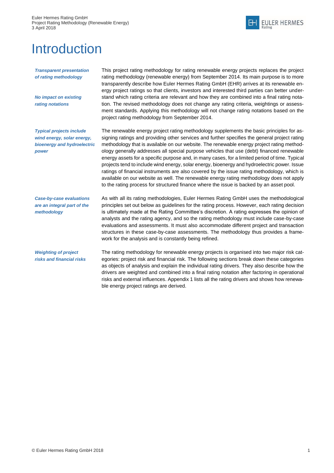

# <span id="page-2-0"></span>Introduction

*Transparent presentation of rating methodology* 

*No impact on existing rating notations*

*Typical projects include wind energy, solar energy, bioenergy and hydroelectric power*

This project rating methodology for rating renewable energy projects replaces the project rating methodology (renewable energy) from September 2014. Its main purpose is to more transparently describe how Euler Hermes Rating GmbH (EHR) arrives at its renewable energy project ratings so that clients, investors and interested third parties can better understand which rating criteria are relevant and how they are combined into a final rating notation. The revised methodology does not change any rating criteria, weightings or assessment standards. Applying this methodology will not change rating notations based on the project rating methodology from September 2014.

The renewable energy project rating methodology supplements the basic principles for assigning ratings and providing other services and further specifies the general project rating methodology that is available on our website. The renewable energy project rating methodology generally addresses all special purpose vehicles that use (debt) financed renewable energy assets for a specific purpose and, in many cases, for a limited period of time. Typical projects tend to include wind energy, solar energy, bioenergy and hydroelectric power. Issue ratings of financial instruments are also covered by the issue rating methodology, which is available on our website as well. The renewable energy rating methodology does not apply to the rating process for structured finance where the issue is backed by an asset pool.

*Case-by-case evaluations are an integral part of the methodology*

As with all its rating methodologies, Euler Hermes Rating GmbH uses the methodological principles set out below as guidelines for the rating process. However, each rating decision is ultimately made at the Rating Committee's discretion. A rating expresses the opinion of analysts and the rating agency, and so the rating methodology must include case-by-case evaluations and assessments. It must also accommodate different project and transaction structures in these case-by-case assessments. The methodology thus provides a framework for the analysis and is constantly being refined.

*Weighting of project risks and financial risks* The rating methodology for renewable energy projects is organised into two major risk categories: project risk and financial risk. The following sections break down these categories as objects of analysis and explain the individual rating drivers. They also describe how the drivers are weighted and combined into a final rating notation after factoring in operational risks and external influences. Appendix 1 lists all the rating drivers and shows how renewable energy project ratings are derived.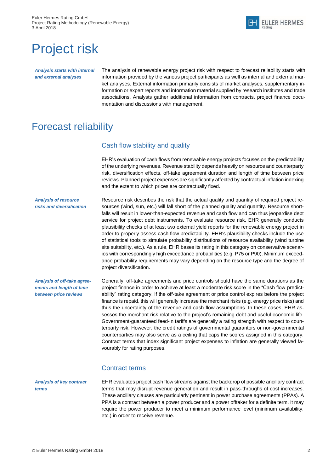

# <span id="page-3-0"></span>Project risk

*Analysis starts with internal and external analyses*

The analysis of renewable energy project risk with respect to forecast reliability starts with information provided by the various project participants as well as internal and external market analyses. External information primarily consists of market analyses, supplementary information or expert reports and information material supplied by research institutes and trade associations. Analysts gather additional information from contracts, project finance documentation and discussions with management.

# <span id="page-3-1"></span>Forecast reliability

#### Cash flow stability and quality

EHR's evaluation of cash flows from renewable energy projects focuses on the predictability of the underlying revenues. Revenue stability depends heavily on resource and counterparty risk, diversification effects, off-take agreement duration and length of time between price reviews. Planned project expenses are significantly affected by contractual inflation indexing and the extent to which prices are contractually fixed.

*Analysis of resource risks and diversification* Resource risk describes the risk that the actual quality and quantity of required project resources (wind, sun, etc.) will fall short of the planned quality and quantity. Resource shortfalls will result in lower-than-expected revenue and cash flow and can thus jeopardise debt service for project debt instruments. To evaluate resource risk, EHR generally conducts plausibility checks of at least two external yield reports for the renewable energy project in order to properly assess cash flow predictability. EHR's plausibility checks include the use of statistical tools to simulate probability distributions of resource availability (wind turbine site suitability, etc.). As a rule, EHR bases its rating in this category on conservative scenarios with correspondingly high exceedance probabilities (e.g. P75 or P90). Minimum exceedance probability requirements may vary depending on the resource type and the degree of project diversification.

*Analysis of off-take agreements and length of time between price reviews*

Generally, off-take agreements and price controls should have the same durations as the project finance in order to achieve at least a moderate risk score in the "Cash flow predictability" rating category. If the off-take agreement or price control expires before the project finance is repaid, this will generally increase the merchant risks (e.g. energy price risks) and thus the uncertainty of the revenue and cash flow assumptions. In these cases, EHR assesses the merchant risk relative to the project's remaining debt and useful economic life. Government-guaranteed feed-in tariffs are generally a rating strength with respect to counterparty risk. However, the credit ratings of governmental guarantors or non-governmental counterparties may also serve as a ceiling that caps the scores assigned in this category. Contract terms that index significant project expenses to inflation are generally viewed favourably for rating purposes.

#### Contract terms

*Analysis of key contract terms*

EHR evaluates project cash flow streams against the backdrop of possible ancillary contract terms that may disrupt revenue generation and result in pass-throughs of cost increases. These ancillary clauses are particularly pertinent in power purchase agreements (PPAs). A PPA is a contract between a power producer and a power offtaker for a definite term. It may require the power producer to meet a minimum performance level (minimum availability, etc.) in order to receive revenue.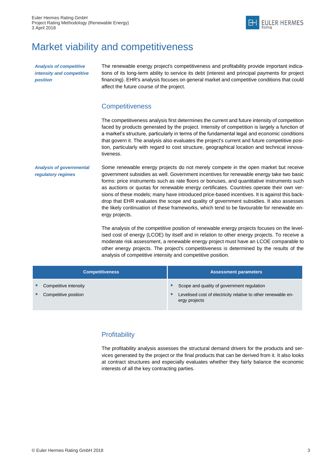

# <span id="page-4-0"></span>Market viability and competitiveness

*Analysis of competitive intensity and competitive position*

The renewable energy project's competitiveness and profitability provide important indications of its long-term ability to service its debt (interest and principal payments for project financing). EHR's analysis focuses on general market and competitive conditions that could affect the future course of the project.

### **Competitiveness**

The competitiveness analysis first determines the current and future intensity of competition faced by products generated by the project. Intensity of competition is largely a function of a market's structure, particularly in terms of the fundamental legal and economic conditions that govern it. The analysis also evaluates the project's current and future competitive position, particularly with regard to cost structure, geographical location and technical innovativeness.

*Analysis of governmental regulatory regimes* Some renewable energy projects do not merely compete in the open market but receive government subsidies as well. Government incentives for renewable energy take two basic forms: price instruments such as rate floors or bonuses, and quantitative instruments such as auctions or quotas for renewable energy certificates. Countries operate their own versions of these models; many have introduced price-based incentives. It is against this backdrop that EHR evaluates the scope and quality of government subsidies. It also assesses the likely continuation of these frameworks, which tend to be favourable for renewable energy projects.

> The analysis of the competitive position of renewable energy projects focuses on the levelised cost of energy (LCOE) by itself and in relation to other energy projects. To receive a moderate risk assessment, a renewable energy project must have an LCOE comparable to other energy projects. The project's competitiveness is determined by the results of the analysis of competitive intensity and competitive position.

| <b>Competitiveness</b>                        |        | <b>Assessment parameters</b>                                                                                                 |
|-----------------------------------------------|--------|------------------------------------------------------------------------------------------------------------------------------|
| Competitive intensity<br>Competitive position | ш<br>п | Scope and quality of government regulation<br>Levelised cost of electricity relative to other renewable en-<br>ergy projects |

### **Profitability**

The profitability analysis assesses the structural demand drivers for the products and services generated by the project or the final products that can be derived from it. It also looks at contract structures and especially evaluates whether they fairly balance the economic interests of all the key contracting parties.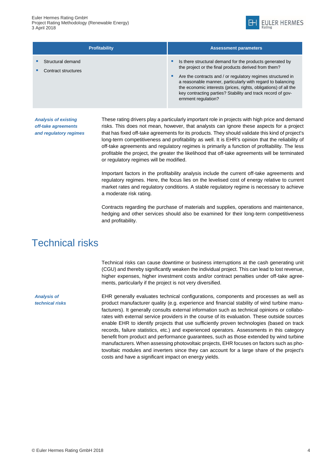

| <b>Profitability</b>                     | <b>Assessment parameters</b>                                                                                                                                                                                                                                                                                                                                                                                     |
|------------------------------------------|------------------------------------------------------------------------------------------------------------------------------------------------------------------------------------------------------------------------------------------------------------------------------------------------------------------------------------------------------------------------------------------------------------------|
| Structural demand<br>Contract structures | Is there structural demand for the products generated by<br>п<br>the project or the final products derived from them?<br>Are the contracts and / or regulatory regimes structured in<br>п<br>a reasonable manner, particularly with regard to balancing<br>the economic interests (prices, rights, obligations) of all the<br>key contracting parties? Stability and track record of gov-<br>ernment regulation? |

*Analysis of existing off-take agreements and regulatory regimes* These rating drivers play a particularly important role in projects with high price and demand risks. This does not mean, however, that analysts can ignore these aspects for a project that has fixed off-take agreements for its products. They should validate this kind of project's long-term competitiveness and profitability as well. It is EHR's opinion that the reliability of off-take agreements and regulatory regimes is primarily a function of profitability. The less profitable the project, the greater the likelihood that off-take agreements will be terminated or regulatory regimes will be modified.

Important factors in the profitability analysis include the current off-take agreements and regulatory regimes. Here, the focus lies on the levelised cost of energy relative to current market rates and regulatory conditions. A stable regulatory regime is necessary to achieve a moderate risk rating.

Contracts regarding the purchase of materials and supplies, operations and maintenance, hedging and other services should also be examined for their long-term competitiveness and profitability.

## <span id="page-5-0"></span>Technical risks

Technical risks can cause downtime or business interruptions at the cash generating unit (CGU) and thereby significantly weaken the individual project. This can lead to lost revenue, higher expenses, higher investment costs and/or contract penalties under off-take agreements, particularly if the project is not very diversified.

EHR generally evaluates technical configurations, components and processes as well as product manufacturer quality (e.g. experience and financial stability of wind turbine manufacturers). It generally consults external information such as technical opinions or collaborates with external service providers in the course of its evaluation. These outside sources enable EHR to identify projects that use sufficiently proven technologies (based on track records, failure statistics, etc.) and experienced operators. Assessments in this category benefit from product and performance guarantees, such as those extended by wind turbine manufacturers. When assessing photovoltaic projects, EHR focuses on factors such as photovoltaic modules and inverters since they can account for a large share of the project's costs and have a significant impact on energy yields.

*Analysis of technical risks*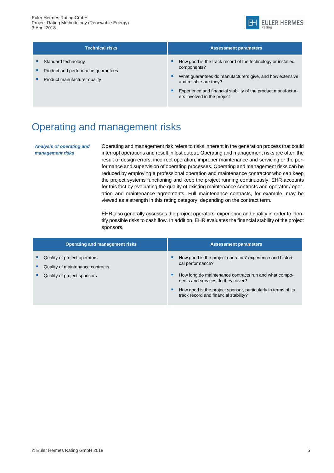

| <b>Technical risks</b>                                                                    | <b>Assessment parameters</b>                                                                                                                                               |
|-------------------------------------------------------------------------------------------|----------------------------------------------------------------------------------------------------------------------------------------------------------------------------|
| Standard technology<br>Product and performance guarantees<br>Product manufacturer quality | How good is the track record of the technology or installed<br>٠<br>components?<br>What guarantees do manufacturers give, and how extensive<br>٠<br>and reliable are they? |

 Experience and financial stability of the product manufacturers involved in the project

# <span id="page-6-0"></span>Operating and management risks

*Analysis of operating and management risks*

Operating and management risk refers to risks inherent in the generation process that could interrupt operations and result in lost output. Operating and management risks are often the result of design errors, incorrect operation, improper maintenance and servicing or the performance and supervision of operating processes. Operating and management risks can be reduced by employing a professional operation and maintenance contractor who can keep the project systems functioning and keep the project running continuously. EHR accounts for this fact by evaluating the quality of existing maintenance contracts and operator / operation and maintenance agreements. Full maintenance contracts, for example, may be viewed as a strength in this rating category, depending on the contract term.

EHR also generally assesses the project operators' experience and quality in order to identify possible risks to cash flow. In addition, EHR evaluates the financial stability of the project sponsors.

| <b>Operating and management risks</b>                            |   | <b>Assessment parameters</b>                                                                           |
|------------------------------------------------------------------|---|--------------------------------------------------------------------------------------------------------|
| Quality of project operators<br>Quality of maintenance contracts | п | How good is the project operators' experience and histori-<br>cal performance?                         |
| Quality of project sponsors                                      | п | How long do maintenance contracts run and what compo-<br>nents and services do they cover?             |
|                                                                  | п | How good is the project sponsor, particularly in terms of its<br>track record and financial stability? |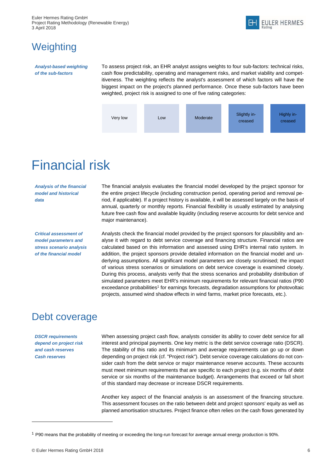# <span id="page-7-0"></span>**Weighting**

*Analyst-based weighting of the sub-factors*

To assess project risk, an EHR analyst assigns weights to four sub-factors: technical risks, cash flow predictability, operating and management risks, and market viability and competitiveness. The weighting reflects the analyst's assessment of which factors will have the biggest impact on the project's planned performance. Once these sub-factors have been weighted, project risk is assigned to one of five rating categories:



# <span id="page-7-1"></span>Financial risk

*Analysis of the financial model and historical data*

*Critical assessment of model parameters and stress scenario analysis of the financial model*

The financial analysis evaluates the financial model developed by the project sponsor for the entire project lifecycle (including construction period, operating period and removal period, if applicable). If a project history is available, it will be assessed largely on the basis of annual, quarterly or monthly reports. Financial flexibility is usually estimated by analysing future free cash flow and available liquidity (including reserve accounts for debt service and major maintenance).

Analysts check the financial model provided by the project sponsors for plausibility and analyse it with regard to debt service coverage and financing structure. Financial ratios are calculated based on this information and assessed using EHR's internal ratio system. In addition, the project sponsors provide detailed information on the financial model and underlying assumptions. All significant model parameters are closely scrutinised; the impact of various stress scenarios or simulations on debt service coverage is examined closely. During this process, analysts verify that the stress scenarios and probability distribution of simulated parameters meet EHR's minimum requirements for relevant financial ratios (P90 exceedance probabilities<sup>1</sup> for earnings forecasts, degradation assumptions for photovoltaic projects, assumed wind shadow effects in wind farms, market price forecasts, etc.).

## <span id="page-7-2"></span>Debt coverage

*DSCR requirements depend on project risk and cash reserves Cash reserves*

When assessing project cash flow, analysts consider its ability to cover debt service for all interest and principal payments. One key metric is the debt service coverage ratio (DSCR). The stability of this ratio and its minimum and average requirements can go up or down depending on project risk (cf. "Project risk"). Debt service coverage calculations do not consider cash from the debt service or major maintenance reserve accounts. These accounts must meet minimum requirements that are specific to each project (e.g. six months of debt service or six months of the maintenance budget). Arrangements that exceed or fall short of this standard may decrease or increase DSCR requirements.

Another key aspect of the financial analysis is an assessment of the financing structure. This assessment focuses on the ratio between debt and project sponsors' equity as well as planned amortisation structures. Project finance often relies on the cash flows generated by

 $\overline{a}$ 

<sup>1</sup> P90 means that the probability of meeting or exceeding the long-run forecast for average annual energy production is 90%.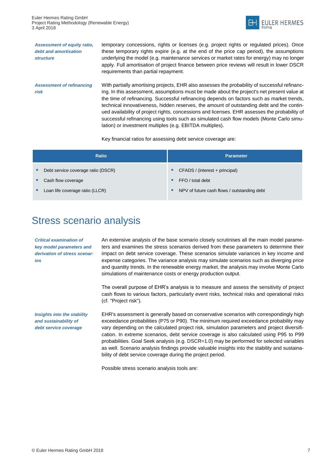

*Assessment of equity ratio, debt and amortisation structure Assessment of refinancing risk* temporary concessions, rights or licenses (e.g. project rights or regulated prices). Once these temporary rights expire (e.g. at the end of the price cap period), the assumptions underlying the model (e.g. maintenance services or market rates for energy) may no longer apply. Full amortisation of project finance between price reviews will result in lower DSCR requirements than partial repayment. With partially amortising projects, EHR also assesses the probability of successful refinancing. In this assessment, assumptions must be made about the project's net present value at the time of refinancing. Successful refinancing depends on factors such as market trends, technical innovativeness, hidden reserves, the amount of outstanding debt and the continued availability of project rights, concessions and licenses. EHR assesses the probability of successful refinancing using tools such as simulated cash flow models (Monte Carlo simulation) or investment multiples (e.g. EBITDA multiples).

Key financial ratios for assessing debt service coverage are:

| <b>Ratio</b>                       |   | <b>Parameter</b>                            |
|------------------------------------|---|---------------------------------------------|
| Debt service coverage ratio (DSCR) | ٠ | CFADS / (interest + principal)              |
| Cash flow coverage                 | ٠ | FFO / total debt                            |
| Loan life coverage ratio (LLCR)    | ٠ | NPV of future cash flows / outstanding debt |

# <span id="page-8-0"></span>Stress scenario analysis

*Critical examination of key model parameters and derivation of stress scenarios*

*and sustainability of debt service coverage*  An extensive analysis of the base scenario closely scrutinises all the main model parameters and examines the stress scenarios derived from these parameters to determine their impact on debt service coverage. These scenarios simulate variances in key income and expense categories. The variance analysis may simulate scenarios such as diverging price and quantity trends. In the renewable energy market, the analysis may involve Monte Carlo simulations of maintenance costs or energy production output.

The overall purpose of EHR's analysis is to measure and assess the sensitivity of project cash flows to various factors, particularly event risks, technical risks and operational risks (cf. "Project risk").

*Insights into the stability* EHR's assessment is generally based on conservative scenarios with correspondingly high exceedance probabilities (P75 or P90). The minimum required exceedance probability may vary depending on the calculated project risk, simulation parameters and project diversification. In extreme scenarios, debt service coverage is also calculated using P95 to P99 probabilities. Goal Seek analysis (e.g. DSCR=1.0) may be performed for selected variables as well. Scenario analysis findings provide valuable insights into the stability and sustainability of debt service coverage during the project period.

Possible stress scenario analysis tools are: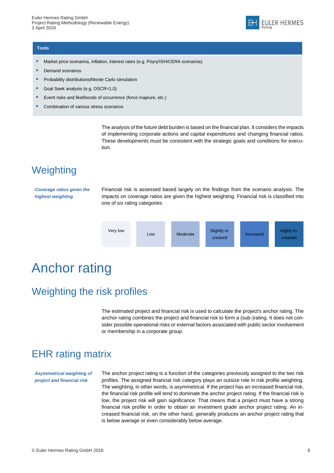#### **Tools**

- **Market price scenarios, inflation, interest rates (e.g. Pöyry/ISH/CERA scenarios)**
- Demand scenarios
- Probability distributions/Monte Carlo simulation
- Goal Seek analysis (e.g. DSCR=1.0)
- Event risks and likelihoods of occurrence (force majeure, etc.)
- Combination of various stress scenarios

The analysis of the future debt burden is based on the financial plan. It considers the impacts of implementing corporate actions and capital expenditures and changing financial ratios. These developments must be consistent with the strategic goals and conditions for execution.

## <span id="page-9-0"></span>**Weighting**

*Coverage ratios given the highest weighting*

Financial risk is assessed based largely on the findings from the scenario analysis. The impacts on coverage ratios are given the highest weighting. Financial risk is classified into one of six rating categories:



# <span id="page-9-1"></span>Anchor rating

## <span id="page-9-2"></span>Weighting the risk profiles

The estimated project and financial risk is used to calculate the project's anchor rating. The anchor rating combines the project and financial risk to form a (sub-)rating. It does not consider possible operational risks or external factors associated with public sector involvement or membership in a corporate group.

## <span id="page-9-3"></span>EHR rating matrix

*Asymmetrical weighting of project and financial risk*

The anchor project rating is a function of the categories previously assigned to the two risk profiles. The assigned financial risk category plays an outsize role in risk profile weighting. The weighting, in other words, is asymmetrical. If the project has an increased financial risk, the financial risk profile will tend to dominate the anchor project rating. If the financial risk is low, the project risk will gain significance. That means that a project must have a strong financial risk profile in order to obtain an investment grade anchor project rating. An increased financial risk, on the other hand, generally produces an anchor project rating that is below average or even considerably below average.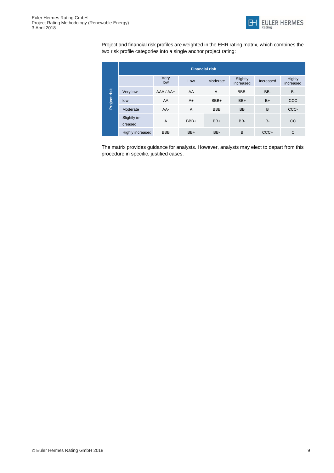

Project and financial risk profiles are weighted in the EHR rating matrix, which combines the two risk profile categories into a single anchor project rating: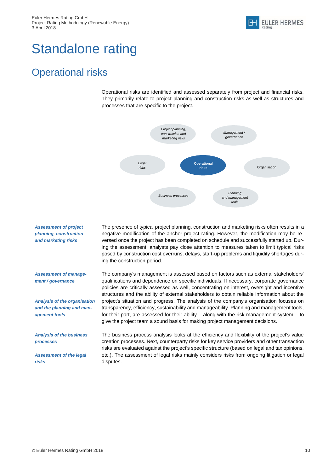# <span id="page-11-0"></span>Standalone rating

# <span id="page-11-1"></span>Operational risks

Operational risks are identified and assessed separately from project and financial risks. They primarily relate to project planning and construction risks as well as structures and processes that are specific to the project.



*Assessment of project planning, construction and marketing risks Assessment of management / governance Analysis of the organisation and the planning and management tools Analysis of the business processes*  The presence of typical project planning, construction and marketing risks often results in a negative modification of the anchor project rating. However, the modification may be reversed once the project has been completed on schedule and successfully started up. During the assessment, analysts pay close attention to measures taken to limit typical risks posed by construction cost overruns, delays, start-up problems and liquidity shortages during the construction period. The company's management is assessed based on factors such as external stakeholders' qualifications and dependence on specific individuals. If necessary, corporate governance policies are critically assessed as well, concentrating on interest, oversight and incentive structures and the ability of external stakeholders to obtain reliable information about the project's situation and progress. The analysis of the company's organisation focuses on transparency, efficiency, sustainability and manageability. Planning and management tools, for their part, are assessed for their ability – along with the risk management system – to give the project team a sound basis for making project management decisions. The business process analysis looks at the efficiency and flexibility of the project's value

<span id="page-11-2"></span>*Assessment of the legal risks*

creation processes. Next, counterparty risks for key service providers and other transaction risks are evaluated against the project's specific structure (based on legal and tax opinions, etc.). The assessment of legal risks mainly considers risks from ongoing litigation or legal disputes.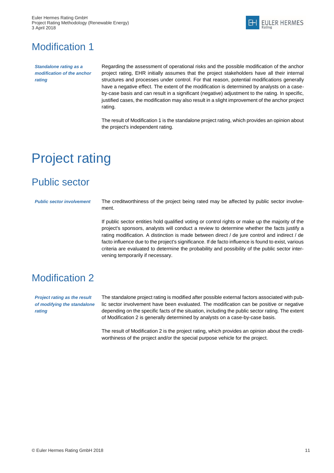

# Modification 1

*Standalone rating as a modification of the anchor rating*

Regarding the assessment of operational risks and the possible modification of the anchor project rating, EHR initially assumes that the project stakeholders have all their internal structures and processes under control. For that reason, potential modifications generally have a negative effect. The extent of the modification is determined by analysts on a caseby-case basis and can result in a significant (negative) adjustment to the rating. In specific, justified cases, the modification may also result in a slight improvement of the anchor project rating.

The result of Modification 1 is the standalone project rating, which provides an opinion about the project's independent rating.

# <span id="page-12-0"></span>Project rating

# <span id="page-12-1"></span>Public sector

*Public sector involvement* The creditworthiness of the project being rated may be affected by public sector involvement.

> If public sector entities hold qualified voting or control rights or make up the majority of the project's sponsors, analysts will conduct a review to determine whether the facts justify a rating modification. A distinction is made between direct / de jure control and indirect / de facto influence due to the project's significance. If de facto influence is found to exist, various criteria are evaluated to determine the probability and possibility of the public sector intervening temporarily if necessary.

# <span id="page-12-2"></span>Modification 2

*Project rating as the result of modifying the standalone rating*

The standalone project rating is modified after possible external factors associated with public sector involvement have been evaluated. The modification can be positive or negative depending on the specific facts of the situation, including the public sector rating. The extent of Modification 2 is generally determined by analysts on a case-by-case basis.

The result of Modification 2 is the project rating, which provides an opinion about the creditworthiness of the project and/or the special purpose vehicle for the project.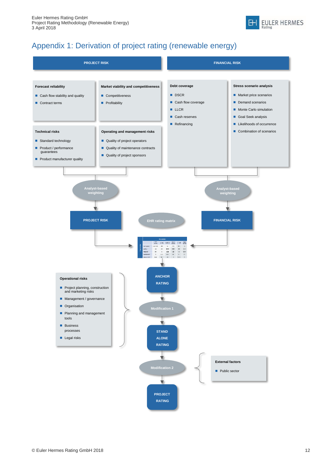

## Appendix 1: Derivation of project rating (renewable energy)

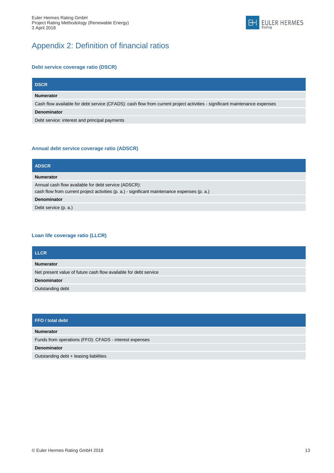## Appendix 2: Definition of financial ratios

#### **Debt service coverage ratio (DSCR)**

| <b>DSCR</b>                                                                                                                |
|----------------------------------------------------------------------------------------------------------------------------|
| <b>Numerator</b>                                                                                                           |
| Cash flow available for debt service (CFADS): cash flow from current project activities - significant maintenance expenses |
| Denominator                                                                                                                |
| Debt service: interest and principal payments                                                                              |
|                                                                                                                            |

#### **Annual debt service coverage ratio (ADSCR)**

| <b>ADSCR</b>                                                                                                                                         |
|------------------------------------------------------------------------------------------------------------------------------------------------------|
| <b>Numerator</b>                                                                                                                                     |
| Annual cash flow available for debt service (ADSCR):<br>cash flow from current project activities (p. a.) - significant maintenance expenses (p. a.) |
| <b>Denominator</b>                                                                                                                                   |
| Debt service (p. a.)                                                                                                                                 |

#### **Loan life coverage ratio (LLCR)**

| <b>LLCR</b>                                                      |
|------------------------------------------------------------------|
| <b>Numerator</b>                                                 |
| Net present value of future cash flow available for debt service |
| <b>Denominator</b>                                               |
| Outstanding debt                                                 |

| FFO / total debt                                       |
|--------------------------------------------------------|
| <b>Numerator</b>                                       |
| Funds from operations (FFO): CFADS - interest expenses |
| <b>Denominator</b>                                     |
| Outstanding debt + leasing liabilities                 |

EULER HERMES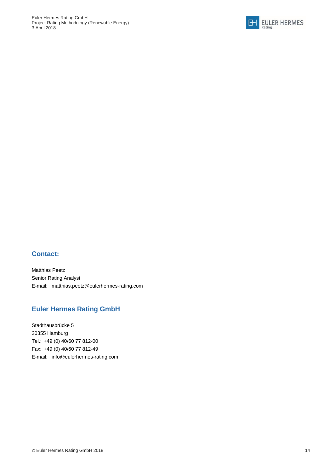

### **Contact:**

Matthias Peetz Senior Rating Analyst E-mail: [matthias.peetz@eulerhermes-rating.com](mailto:sascha.heller@eulerhermes-rating.com)

### **Euler Hermes Rating GmbH**

Stadthausbrücke 5 20355 Hamburg Tel.: +49 (0) 40/60 77 812-00 Fax: +49 (0) 40/60 77 812-49 E-mail: info@eulerhermes-rating.com